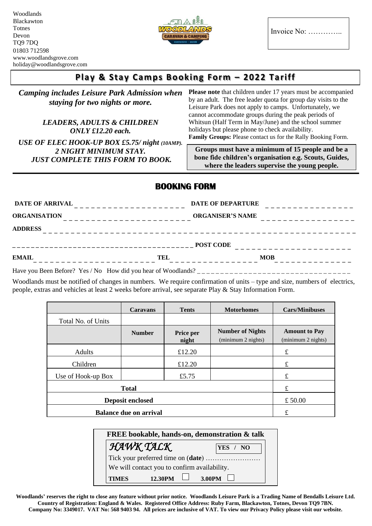Woodlands Blackawton Totnes Devon TQ9 7DQ 01803 712598 www.woodlandsgrove.com holiday@woodlandsgrove.com



Invoice No: …………..

**where the leaders supervise the young people.**

## **Play & Stay Camps Booking Form – 2022 Tariff**

| <b>Camping includes Leisure Park Admission when</b><br>staying for two nights or more.<br><b>LEADERS, ADULTS &amp; CHILDREN</b> | Please note that children under 17 years must be accompanied<br>by an adult. The free leader quota for group day visits to the<br>Leisure Park does not apply to camps. Unfortunately, we<br>cannot accommodate groups during the peak periods of<br>Whitsun (Half Term in May/June) and the school summer |  |  |  |
|---------------------------------------------------------------------------------------------------------------------------------|------------------------------------------------------------------------------------------------------------------------------------------------------------------------------------------------------------------------------------------------------------------------------------------------------------|--|--|--|
| $ONLY$ £12.20 each.                                                                                                             | holidays but please phone to check availability.                                                                                                                                                                                                                                                           |  |  |  |
| USE OF ELEC HOOK-UP BOX £5.75/ night (10AMP).                                                                                   | Family Groups: Please contact us for the Rally Booking Form.                                                                                                                                                                                                                                               |  |  |  |
| 2 NIGHT MINIMUM STAY.<br><b>JUST COMPLETE THIS FORM TO BOOK.</b>                                                                | Groups must have a minimum of 15 people and be a<br>bone fide children's organisation e.g. Scouts, Guides,                                                                                                                                                                                                 |  |  |  |

## **BOOKING FORM**

| <b>DATE OF ARRIVAL</b>                    | <b>DATE OF DEPARTURE</b><br>- - - - - - - - - - - - - |  |  |
|-------------------------------------------|-------------------------------------------------------|--|--|
| <b>ORGANISATION</b><br>__________________ | <b>ORGANISER'S NAME</b><br>____________               |  |  |
| <b>ADDRESS</b>                            |                                                       |  |  |
| --------------------------------------    | <b>POST CODE</b>                                      |  |  |
| <b>EMAIL</b><br>TEL                       | <b>MOB</b>                                            |  |  |

Have you Been Before? Yes / No How did you hear of Woodlands? \_ \_ \_ \_ \_ \_ \_ \_ \_ \_ \_ \_ \_ \_ \_ \_ \_ \_ \_ \_ \_ \_ \_ \_ \_ \_ \_ \_ \_ \_ \_ \_ \_

Woodlands must be notified of changes in numbers. We require confirmation of units – type and size, numbers of electrics, people, extras and vehicles at least 2 weeks before arrival, see separate Play & Stay Information Form.

|                               | Caravans      | <b>Tents</b>       | <b>Motorhomes</b>                             | <b>Cars/Minibuses</b>                      |  |
|-------------------------------|---------------|--------------------|-----------------------------------------------|--------------------------------------------|--|
| Total No. of Units            |               |                    |                                               |                                            |  |
|                               | <b>Number</b> | Price per<br>night | <b>Number of Nights</b><br>(minimum 2 nights) | <b>Amount to Pay</b><br>(minimum 2 nights) |  |
| Adults                        |               | £12.20             |                                               | £                                          |  |
| Children                      |               | £12.20             |                                               | £                                          |  |
| Use of Hook-up Box            |               | £5.75              |                                               | £                                          |  |
| <b>Total</b>                  |               |                    | £                                             |                                            |  |
| <b>Deposit enclosed</b>       |               |                    |                                               | £50.00                                     |  |
| <b>Balance due on arrival</b> |               |                    |                                               | £                                          |  |

|              | <b>FREE</b> bookable, hands-on, demonstration & talk |  |  |          |
|--------------|------------------------------------------------------|--|--|----------|
|              | HAWK TALK                                            |  |  | YES / NO |
|              | Tick your preferred time on (date)                   |  |  |          |
|              | We will contact you to confirm availability.         |  |  |          |
| <b>TIMES</b> | 12.30PM $\Box$ 3.00PM $\Box$                         |  |  |          |

**Woodlands' reserves the right to close any feature without prior notice. Woodlands Leisure Park is a Trading Name of Bendalls Leisure Ltd. Country of Registration: England & Wales. Registered Office Address: Ruby Farm, Blackawton, Totnes, Devon TQ9 7BN. Company No: 3349017. VAT No: 568 9403 94. All prices are inclusive of VAT. To view our Privacy Policy please visit our website.**